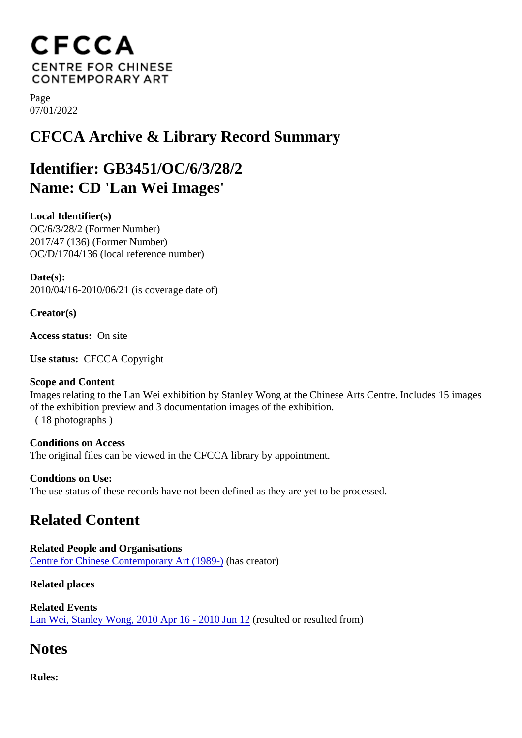Page 07/01/2022

## CFCCA Archive & Library Record Summary

## Identifier: GB3451/OC/6/3/28/2 Name: CD 'Lan Wei Images'

Local Identifier(s) OC/6/3/28/2 (Former Number) 2017/47 (136) (Former Number) OC/D/1704/136 (local reference number)

Date(s): 2010/04/16-2010/06/21 (is coverage date of)

Creator(s)

Access status: On site

Use status: CFCCA Copyright

Scope and Content Images relating to the Lan Wei exhibition by Stanley Wong at the Chinese Arts Centre. Includes 15 image of the exhibition preview and 3 documentation images of the exhibition.

( 18 photographs )

Conditions on Access The original files can be viewed in the CFCCA library by appointment.

Condtions on Use: The use status of these records have not been defined as they are yet to be processed.

## Related Content

Related People and Organisations [Centre for Chinese Contemporary Art \(198](/index.php/Detail/entities/2)9)As creator)

Related places

Related Events [Lan Wei, Stanley Wong, 2010 Apr 16 - 2010 Jun](/index.php/Detail/occurrences/431) resulted or resulted from)

## **Notes**

Rules: